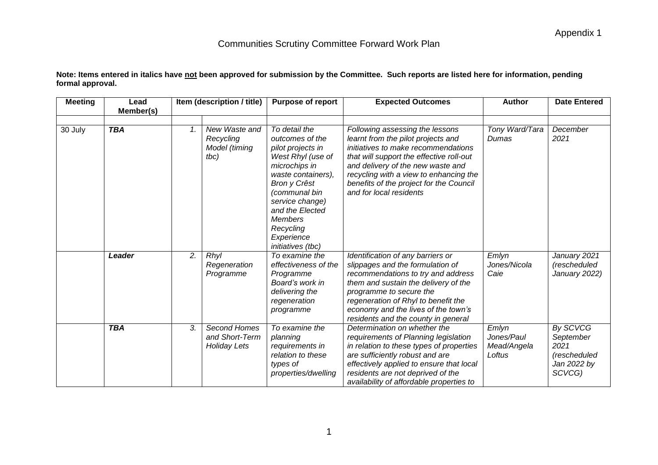| Note: Items entered in italics have <u>not</u> been approved for submission by the Committee. Such reports are listed here for information, pending |  |
|-----------------------------------------------------------------------------------------------------------------------------------------------------|--|
| formal approval.                                                                                                                                    |  |

| <b>Meeting</b> | Lead<br>Member(s) |    | Item (description / title)                            | <b>Purpose of report</b>                                                                                                                                                                                                                                          | <b>Expected Outcomes</b>                                                                                                                                                                                                                                                                                      | <b>Author</b>                                | <b>Date Entered</b>                                                           |
|----------------|-------------------|----|-------------------------------------------------------|-------------------------------------------------------------------------------------------------------------------------------------------------------------------------------------------------------------------------------------------------------------------|---------------------------------------------------------------------------------------------------------------------------------------------------------------------------------------------------------------------------------------------------------------------------------------------------------------|----------------------------------------------|-------------------------------------------------------------------------------|
| 30 July        | <b>TBA</b>        | 1. | New Waste and<br>Recycling<br>Model (timing<br>tbc)   | To detail the<br>outcomes of the<br>pilot projects in<br>West Rhyl (use of<br>microchips in<br>waste containers),<br>Bron y Crêst<br>(communal bin<br>service change)<br>and the Elected<br><b>Members</b><br>Recycling<br>Experience<br><i>initiatives</i> (tbc) | Following assessing the lessons<br>learnt from the pilot projects and<br>initiatives to make recommendations<br>that will support the effective roll-out<br>and delivery of the new waste and<br>recycling with a view to enhancing the<br>benefits of the project for the Council<br>and for local residents | Tony Ward/Tara<br>Dumas                      | December<br>2021                                                              |
|                | Leader            | 2. | Rhyl<br>Regeneration<br>Programme                     | To examine the<br>effectiveness of the<br>Programme<br>Board's work in<br>delivering the<br>regeneration<br>programme                                                                                                                                             | Identification of any barriers or<br>slippages and the formulation of<br>recommendations to try and address<br>them and sustain the delivery of the<br>programme to secure the<br>regeneration of Rhyl to benefit the<br>economy and the lives of the town's<br>residents and the county in general           | Emlyn<br>Jones/Nicola<br>Caie                | January 2021<br>(rescheduled<br>January 2022)                                 |
|                | <b>TBA</b>        | 3. | Second Homes<br>and Short-Term<br><b>Holiday Lets</b> | To examine the<br>planning<br>requirements in<br>relation to these<br>types of<br>properties/dwelling                                                                                                                                                             | Determination on whether the<br>requirements of Planning legislation<br>in relation to these types of properties<br>are sufficiently robust and are<br>effectively applied to ensure that local<br>residents are not deprived of the<br>availability of affordable properties to                              | Emlyn<br>Jones/Paul<br>Mead/Angela<br>Loftus | <b>By SCVCG</b><br>September<br>2021<br>(rescheduled<br>Jan 2022 by<br>SCVCG) |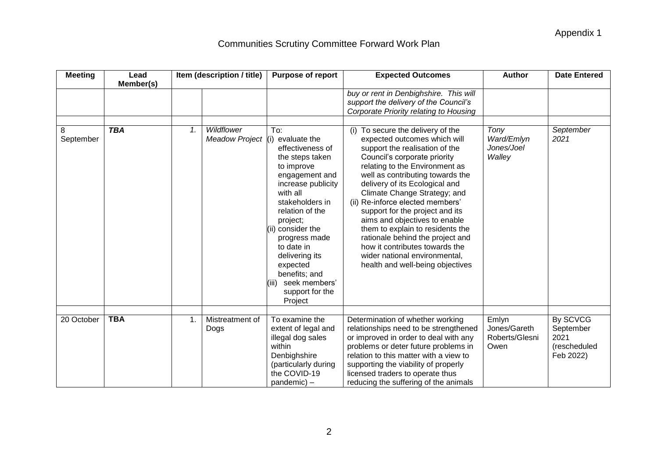| <b>Meeting</b> | Lead                    |    | Item (description / title)       | <b>Purpose of report</b>                                                                                                                                                                                                                                                                                                                  | <b>Expected Outcomes</b>                                                                                                                                                                                                                                                                                                                                                                                                                                                                                                                                                                                                                                                                        | <b>Author</b>                                   | <b>Date Entered</b>                                        |
|----------------|-------------------------|----|----------------------------------|-------------------------------------------------------------------------------------------------------------------------------------------------------------------------------------------------------------------------------------------------------------------------------------------------------------------------------------------|-------------------------------------------------------------------------------------------------------------------------------------------------------------------------------------------------------------------------------------------------------------------------------------------------------------------------------------------------------------------------------------------------------------------------------------------------------------------------------------------------------------------------------------------------------------------------------------------------------------------------------------------------------------------------------------------------|-------------------------------------------------|------------------------------------------------------------|
| 8<br>September | Member(s)<br><b>TBA</b> | 1. | Wildflower<br>Meadow Project (i) | To:<br>evaluate the<br>effectiveness of<br>the steps taken<br>to improve<br>engagement and<br>increase publicity<br>with all<br>stakeholders in<br>relation of the<br>project;<br>(ii) consider the<br>progress made<br>to date in<br>delivering its<br>expected<br>benefits; and<br>seek members'<br>(111)<br>support for the<br>Project | buy or rent in Denbighshire. This will<br>support the delivery of the Council's<br>Corporate Priority relating to Housing<br>(i) To secure the delivery of the<br>expected outcomes which will<br>support the realisation of the<br>Council's corporate priority<br>relating to the Environment as<br>well as contributing towards the<br>delivery of its Ecological and<br>Climate Change Strategy; and<br>(ii) Re-inforce elected members'<br>support for the project and its<br>aims and objectives to enable<br>them to explain to residents the<br>rationale behind the project and<br>how it contributes towards the<br>wider national environmental,<br>health and well-being objectives | Tony<br>Ward/Emlyn<br>Jones/Joel<br>Walley      | September<br>2021                                          |
| 20 October     | <b>TBA</b>              | 1. | Mistreatment of<br>Dogs          | To examine the<br>extent of legal and<br>illegal dog sales<br>within<br>Denbighshire<br>(particularly during<br>the COVID-19<br>pandemic) -                                                                                                                                                                                               | Determination of whether working<br>relationships need to be strengthened<br>or improved in order to deal with any<br>problems or deter future problems in<br>relation to this matter with a view to<br>supporting the viability of properly<br>licensed traders to operate thus<br>reducing the suffering of the animals                                                                                                                                                                                                                                                                                                                                                                       | Emlyn<br>Jones/Gareth<br>Roberts/Glesni<br>Owen | By SCVCG<br>September<br>2021<br>(rescheduled<br>Feb 2022) |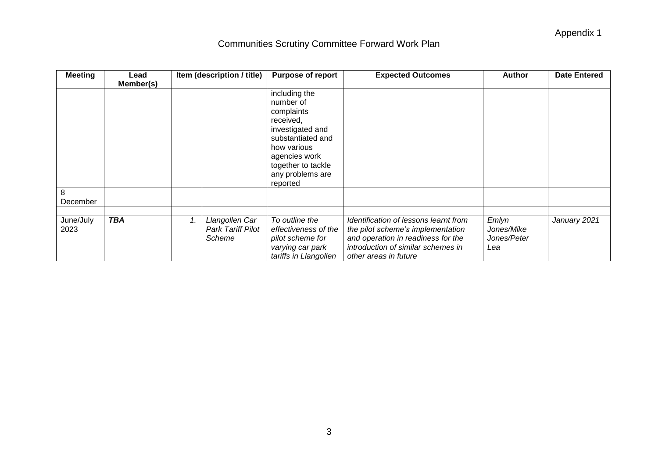| <b>Meeting</b>    | Lead       |    | Item (description / title)                    | <b>Purpose of report</b>                                                                                                                                                             | <b>Expected Outcomes</b>                                                                                                                                                        | <b>Author</b>                             | <b>Date Entered</b> |
|-------------------|------------|----|-----------------------------------------------|--------------------------------------------------------------------------------------------------------------------------------------------------------------------------------------|---------------------------------------------------------------------------------------------------------------------------------------------------------------------------------|-------------------------------------------|---------------------|
|                   | Member(s)  |    |                                               |                                                                                                                                                                                      |                                                                                                                                                                                 |                                           |                     |
|                   |            |    |                                               | including the<br>number of<br>complaints<br>received,<br>investigated and<br>substantiated and<br>how various<br>agencies work<br>together to tackle<br>any problems are<br>reported |                                                                                                                                                                                 |                                           |                     |
| 8<br>December     |            |    |                                               |                                                                                                                                                                                      |                                                                                                                                                                                 |                                           |                     |
|                   |            |    |                                               |                                                                                                                                                                                      |                                                                                                                                                                                 |                                           |                     |
| June/July<br>2023 | <b>TBA</b> | 1. | Llangollen Car<br>Park Tariff Pilot<br>Scheme | To outline the<br>effectiveness of the<br>pilot scheme for<br>varying car park<br>tariffs in Llangollen                                                                              | Identification of lessons learnt from<br>the pilot scheme's implementation<br>and operation in readiness for the<br>introduction of similar schemes in<br>other areas in future | Emlyn<br>Jones/Mike<br>Jones/Peter<br>Lea | January 2021        |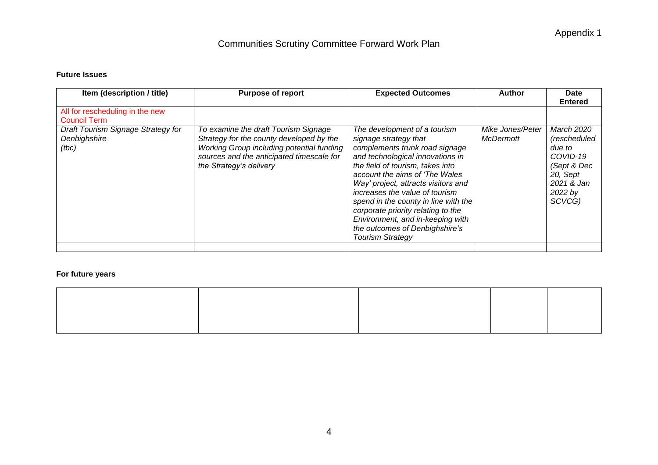#### **Future Issues**

| Item (description / title)                                  | <b>Purpose of report</b>                                                                                                                                                                              | <b>Expected Outcomes</b>                                                                                                                                                                                                                                                                                                                                                                                                                                  | Author                               | <b>Date</b><br><b>Entered</b>                                                                                  |
|-------------------------------------------------------------|-------------------------------------------------------------------------------------------------------------------------------------------------------------------------------------------------------|-----------------------------------------------------------------------------------------------------------------------------------------------------------------------------------------------------------------------------------------------------------------------------------------------------------------------------------------------------------------------------------------------------------------------------------------------------------|--------------------------------------|----------------------------------------------------------------------------------------------------------------|
| All for rescheduling in the new<br><b>Council Term</b>      |                                                                                                                                                                                                       |                                                                                                                                                                                                                                                                                                                                                                                                                                                           |                                      |                                                                                                                |
| Draft Tourism Signage Strategy for<br>Denbighshire<br>(tbc) | To examine the draft Tourism Signage<br>Strategy for the county developed by the<br>Working Group including potential funding<br>sources and the anticipated timescale for<br>the Strategy's delivery | The development of a tourism<br>signage strategy that<br>complements trunk road signage<br>and technological innovations in<br>the field of tourism, takes into<br>account the aims of 'The Wales<br>Way' project, attracts visitors and<br>increases the value of tourism<br>spend in the county in line with the<br>corporate priority relating to the<br>Environment, and in-keeping with<br>the outcomes of Denbighshire's<br><b>Tourism Strategy</b> | Mike Jones/Peter<br><b>McDermott</b> | March 2020<br>(rescheduled<br>due to<br>COVID-19<br>(Sept & Dec<br>20, Sept<br>2021 & Jan<br>2022 by<br>SCVCG) |
|                                                             |                                                                                                                                                                                                       |                                                                                                                                                                                                                                                                                                                                                                                                                                                           |                                      |                                                                                                                |

### **For future years**